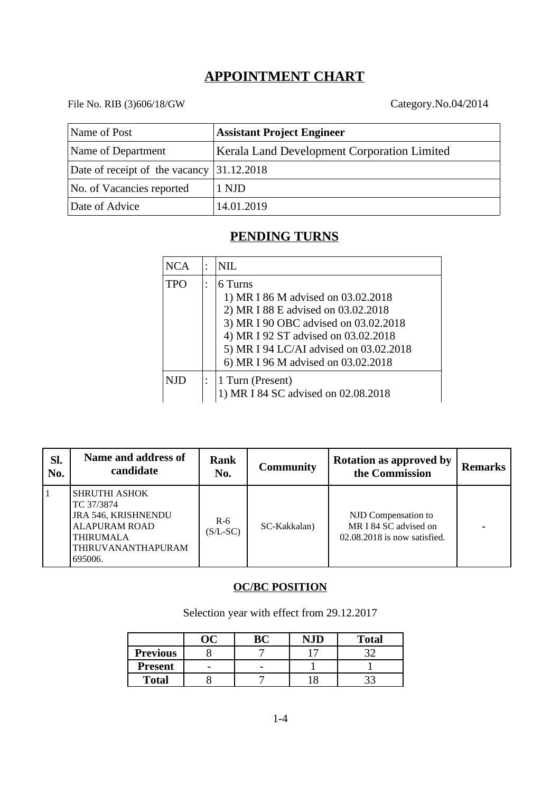# **APPOINTMENT CHART**

### File No. RIB (3)606/18/GW Category.No.04/2014

| Name of Post                       | <b>Assistant Project Engineer</b>                  |
|------------------------------------|----------------------------------------------------|
| Name of Department                 | <b>Kerala Land Development Corporation Limited</b> |
| Date of receipt of the vacancy $ $ | 31.12.2018                                         |
| No. of Vacancies reported          | 1 NJD                                              |
| Date of Advice                     | 14.01.2019                                         |

## **PENDING TURNS**

| <b>NCA</b> | ٠ | NIL.                                                                                                                                                                                                         |
|------------|---|--------------------------------------------------------------------------------------------------------------------------------------------------------------------------------------------------------------|
| <b>TPO</b> |   | 6 Turns<br>1) MR I 86 M advised on 03.02.2018<br>2) MR I 88 E advised on 03.02.2018<br>3) MR I 90 OBC advised on 03.02.2018<br>4) MR I 92 ST advised on 03.02.2018<br>5) MR I 94 LC/AI advised on 03.02.2018 |
|            |   | 6) MR I 96 M advised on 03.02.2018                                                                                                                                                                           |
| NJD        |   | 1 Turn (Present)<br>1) MR I 84 SC advised on 02.08.2018                                                                                                                                                      |

| SI.<br>No. | Name and address of<br>candidate                                                                                                       | Rank<br>No.         | <b>Community</b> | <b>Rotation as approved by</b><br>the Commission                               | <b>Remarks</b> |
|------------|----------------------------------------------------------------------------------------------------------------------------------------|---------------------|------------------|--------------------------------------------------------------------------------|----------------|
|            | <b>SHRUTHI ASHOK</b><br>TC 37/3874<br>JRA 546, KRISHNENDU<br><b>ALAPURAM ROAD</b><br><b>THIRUMALA</b><br>THIRUVANANTHAPURAM<br>695006. | $R-6$<br>$(S/L-SC)$ | SC-Kakkalan)     | NJD Compensation to<br>MR I 84 SC advised on<br>$02.08.2018$ is now satisfied. |                |

### **OC/BC POSITION**

Selection year with effect from 29.12.2017

|                 |   | NJD | <b>Total</b> |
|-----------------|---|-----|--------------|
| <b>Previous</b> |   |     | רי           |
| <b>Present</b>  | - |     |              |
| <b>Total</b>    |   |     |              |